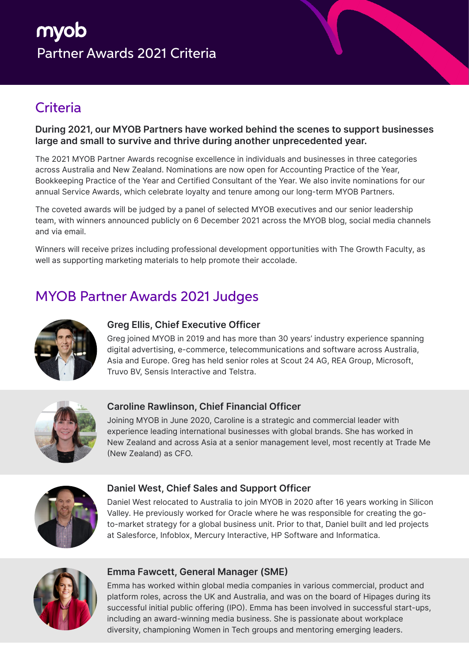# myob Partner Awards 2021 Criteria

## **Criteria**

#### **During 2021, our MYOB Partners have worked behind the scenes to support businesses large and small to survive and thrive during another unprecedented year.**

The 2021 MYOB Partner Awards recognise excellence in individuals and businesses in three categories across Australia and New Zealand. Nominations are now open for Accounting Practice of the Year, Bookkeeping Practice of the Year and Certified Consultant of the Year. We also invite nominations for our annual Service Awards, which celebrate loyalty and tenure among our long-term MYOB Partners.

The coveted awards will be judged by a panel of selected MYOB executives and our senior leadership team, with winners announced publicly on 6 December 2021 across the MYOB blog, social media channels and via email.

Winners will receive prizes including professional development opportunities with The Growth Faculty, as well as supporting marketing materials to help promote their accolade.

## MYOB Partner Awards 2021 Judges



## **Greg Ellis, Chief Executive Officer**

Greg joined MYOB in 2019 and has more than 30 years' industry experience spanning digital advertising, e-commerce, telecommunications and software across Australia, Asia and Europe. Greg has held senior roles at Scout 24 AG, REA Group, Microsoft, Truvo BV, Sensis Interactive and Telstra.



## **Caroline Rawlinson, Chief Financial Officer**

Joining MYOB in June 2020, Caroline is a strategic and commercial leader with experience leading international businesses with global brands. She has worked in New Zealand and across Asia at a senior management level, most recently at Trade Me (New Zealand) as CFO.



#### **Daniel West, Chief Sales and Support Officer**

Daniel West relocated to Australia to join MYOB in 2020 after 16 years working in Silicon Valley. He previously worked for Oracle where he was responsible for creating the goto-market strategy for a global business unit. Prior to that, Daniel built and led projects at Salesforce, Infoblox, Mercury Interactive, HP Software and Informatica.



#### **Emma Fawcett, General Manager (SME)**

Emma has worked within global media companies in various commercial, product and platform roles, across the UK and Australia, and was on the board of Hipages during its successful initial public offering (IPO). Emma has been involved in successful start-ups, including an award-winning media business. She is passionate about workplace diversity, championing Women in Tech groups and mentoring emerging leaders.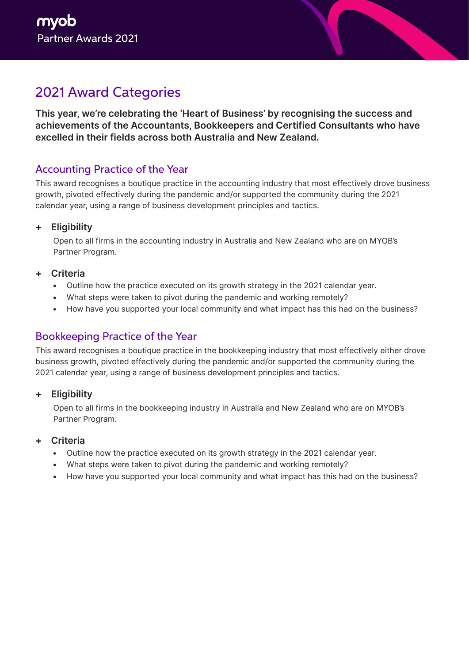## 2021 Award Categories

**This year, we're celebrating the 'Heart of Business' by recognising the success and achievements of the Accountants, Bookkeepers and Certified Consultants who have excelled in their fields across both Australia and New Zealand.** 

## Accounting Practice of the Year

This award recognises a boutique practice in the accounting industry that most effectively drove business growth, pivoted effectively during the pandemic and/or supported the community during the 2021 calendar year, using a range of business development principles and tactics.

## **+ Eligibility**

Open to all firms in the accounting industry in Australia and New Zealand who are on MYOB's Partner Program.

#### **+ Criteria**

- Outline how the practice executed on its growth strategy in the 2021 calendar year.
- What steps were taken to pivot during the pandemic and working remotely?
- How have you supported your local community and what impact has this had on the business?

## Bookkeeping Practice of the Year

This award recognises a boutique practice in the bookkeeping industry that most effectively either drove business growth, pivoted effectively during the pandemic and/or supported the community during the 2021 calendar year, using a range of business development principles and tactics.

#### **+ Eligibility**

Open to all firms in the bookkeeping industry in Australia and New Zealand who are on MYOB's Partner Program.

#### **+ Criteria**

- Outline how the practice executed on its growth strategy in the 2021 calendar year.
- What steps were taken to pivot during the pandemic and working remotely?
- How have you supported your local community and what impact has this had on the business?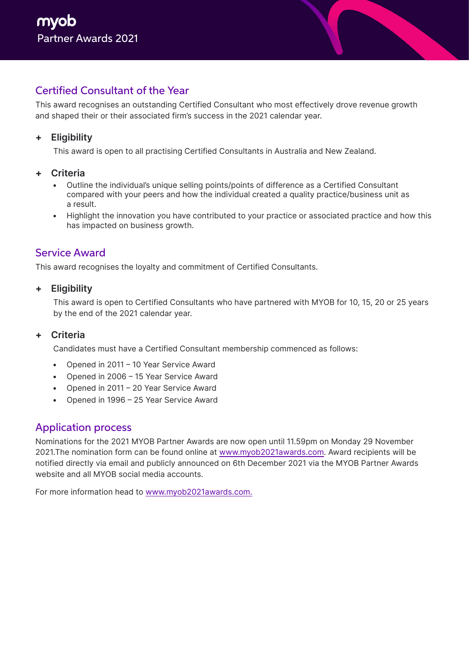## Certified Consultant of the Year

This award recognises an outstanding Certified Consultant who most effectively drove revenue growth and shaped their or their associated firm's success in the 2021 calendar year.

## **+ Eligibility**

This award is open to all practising Certified Consultants in Australia and New Zealand.

#### **+ Criteria**

- Outline the individual's unique selling points/points of difference as a Certified Consultant compared with your peers and how the individual created a quality practice/business unit as a result.
- Highlight the innovation you have contributed to your practice or associated practice and how this has impacted on business growth.

## Service Award

This award recognises the loyalty and commitment of Certified Consultants.

**+ Eligibility** 

This award is open to Certified Consultants who have partnered with MYOB for 10, 15, 20 or 25 years by the end of the 2021 calendar year.

#### **+ Criteria**

Candidates must have a Certified Consultant membership commenced as follows:

- Opened in 2011 10 Year Service Award
- Opened in 2006 15 Year Service Award
- Opened in 2011 20 Year Service Award
- Opened in 1996 25 Year Service Award

## Application process

Nominations for the 2021 MYOB Partner Awards are now open until 11.59pm on Monday 29 November 2021.The nomination form can be found online at www.myob2021awards.com. Award recipients will be notified directly via email and publicly announced on 6th December 2021 via the MYOB Partner Awards website and all MYOB social media accounts.

For more information head to www.myob2021awards.com.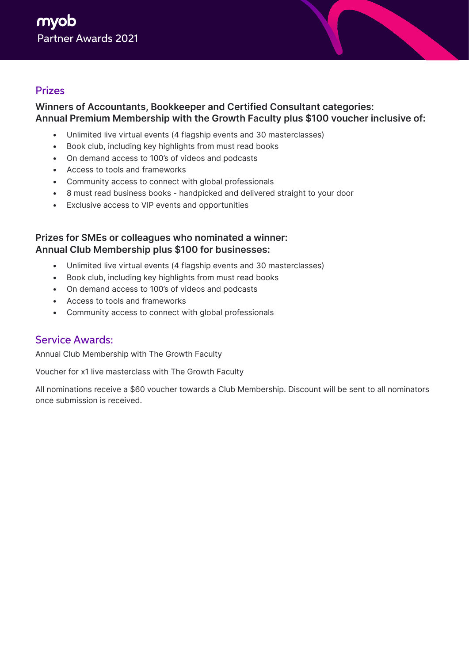## Prizes

## **Winners of Accountants, Bookkeeper and Certified Consultant categories: Annual Premium Membership with the Growth Faculty plus \$100 voucher inclusive of:**

- Unlimited live virtual events (4 flagship events and 30 masterclasses)
- Book club, including key highlights from must read books
- On demand access to 100's of videos and podcasts
- Access to tools and frameworks
- Community access to connect with global professionals
- 8 must read business books handpicked and delivered straight to your door
- Exclusive access to VIP events and opportunities

#### **Prizes for SMEs or colleagues who nominated a winner: Annual Club Membership plus \$100 for businesses:**

- Unlimited live virtual events (4 flagship events and 30 masterclasses)
- Book club, including key highlights from must read books
- On demand access to 100's of videos and podcasts
- Access to tools and frameworks
- Community access to connect with global professionals

## Service Awards:

Annual Club Membership with The Growth Faculty

Voucher for x1 live masterclass with The Growth Faculty

All nominations receive a \$60 voucher towards a Club Membership. Discount will be sent to all nominators once submission is received.